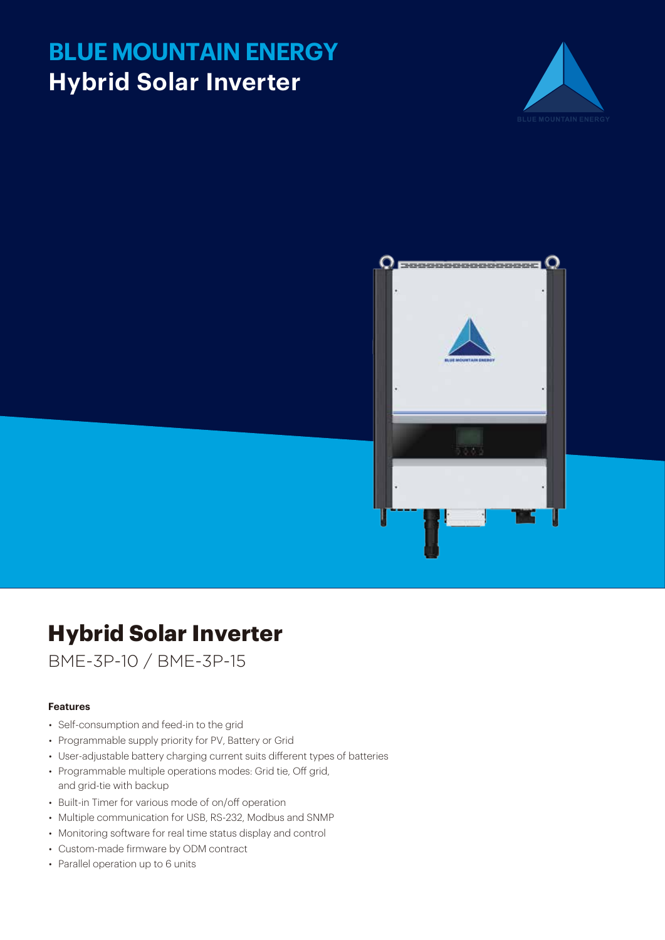# **BLUE MOUNTAIN ENERGY Hybrid Solar Inverter**





## **Hybrid Solar Inverter**

BME-3P-10 / BME-3P-15

#### **Features**

- Self-consumption and feed-in to the grid
- Programmable supply priority for PV, Battery or Grid
- User-adjustable battery charging current suits different types of batteries
- Programmable multiple operations modes: Grid tie, Off grid, and grid-tie with backup
- Built-in Timer for various mode of on/off operation
- Multiple communication for USB, RS-232, Modbus and SNMP
- Monitoring software for real time status display and control
- Custom-made firmware by ODM contract
- Parallel operation up to 6 units